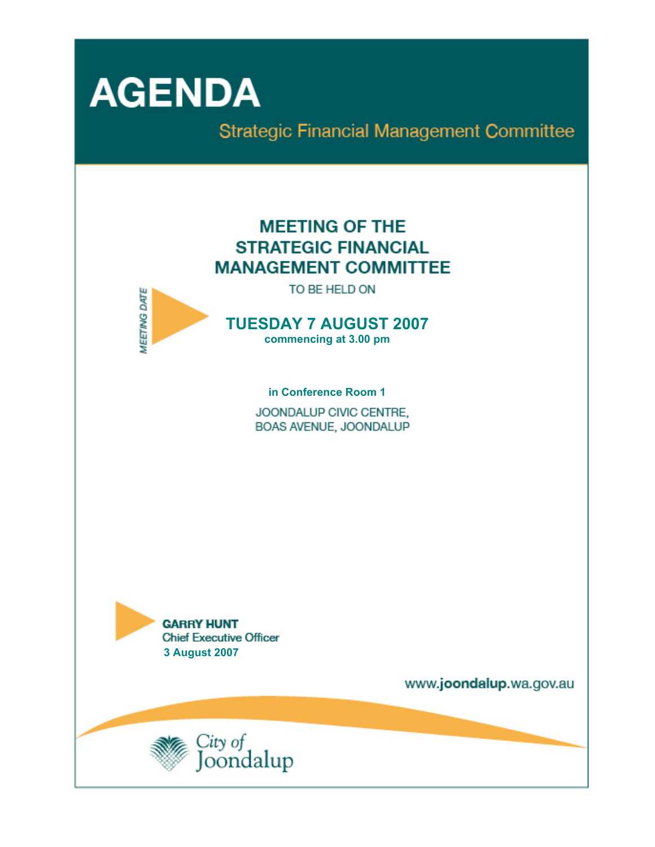

**Strategic Financial Management Committee** 

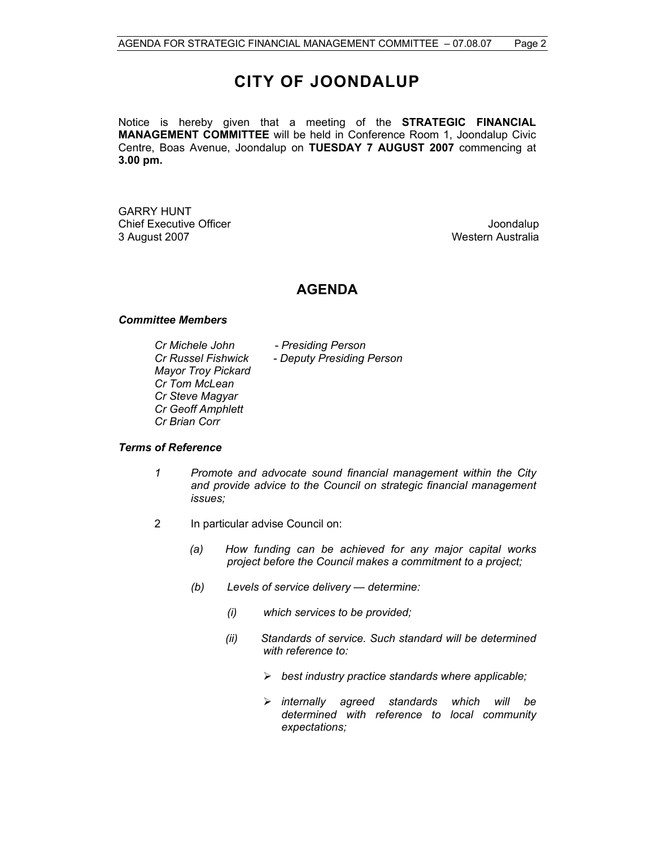# **CITY OF JOONDALUP**

Notice is hereby given that a meeting of the **STRATEGIC FINANCIAL MANAGEMENT COMMITTEE** will be held in Conference Room 1, Joondalup Civic Centre, Boas Avenue, Joondalup on **TUESDAY 7 AUGUST 2007** commencing at **3.00 pm.** 

GARRY HUNT Chief Executive Officer **Chief Executive Officer** Joondalup 3 August 2007 Western Australia

# **AGENDA**

### *Committee Members*

*Cr Michele John - Presiding Person Mayor Troy Pickard Cr Tom McLean Cr Steve Magyar Cr Geoff Amphlett Cr Brian Corr* 

*Cr Russel Fishwick - Deputy Presiding Person* 

# *Terms of Reference*

- *1 Promote and advocate sound financial management within the City and provide advice to the Council on strategic financial management issues;*
- 2 In particular advise Council on:
	- *(a) How funding can be achieved for any major capital works project before the Council makes a commitment to a project;*
	- *(b) Levels of service delivery determine:* 
		- *(i) which services to be provided;*
		- *(ii) Standards of service. Such standard will be determined with reference to:* 
			- ¾ *best industry practice standards where applicable;*
			- ¾ *internally agreed standards which will be determined with reference to local community expectations;*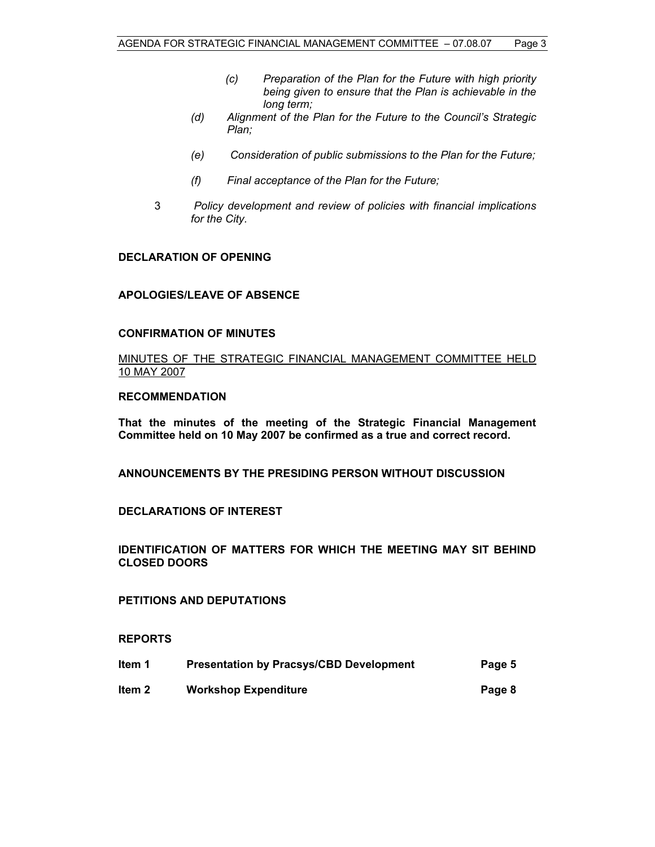- *(c) Preparation of the Plan for the Future with high priority being given to ensure that the Plan is achievable in the long term;*
- *(d) Alignment of the Plan for the Future to the Council's Strategic Plan;*
- *(e) Consideration of public submissions to the Plan for the Future;*
- *(f) Final acceptance of the Plan for the Future;*
- 3 *Policy development and review of policies with financial implications for the City.*

# **DECLARATION OF OPENING**

# **APOLOGIES/LEAVE OF ABSENCE**

#### **CONFIRMATION OF MINUTES**

MINUTES OF THE STRATEGIC FINANCIAL MANAGEMENT COMMITTEE HELD 10 MAY 2007

### **RECOMMENDATION**

**That the minutes of the meeting of the Strategic Financial Management Committee held on 10 May 2007 be confirmed as a true and correct record.** 

**ANNOUNCEMENTS BY THE PRESIDING PERSON WITHOUT DISCUSSION** 

#### **DECLARATIONS OF INTEREST**

**IDENTIFICATION OF MATTERS FOR WHICH THE MEETING MAY SIT BEHIND CLOSED DOORS** 

# **PETITIONS AND DEPUTATIONS**

**REPORTS** 

| Item 1 | <b>Presentation by Pracsys/CBD Development</b> | Page 5 |
|--------|------------------------------------------------|--------|
| ltem 2 | <b>Workshop Expenditure</b>                    | Page 8 |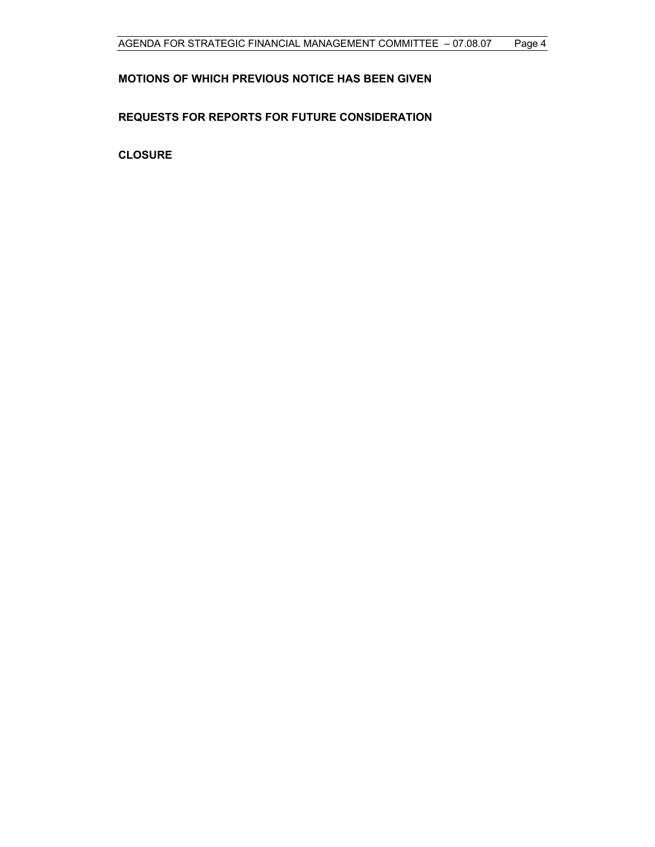# **MOTIONS OF WHICH PREVIOUS NOTICE HAS BEEN GIVEN**

# **REQUESTS FOR REPORTS FOR FUTURE CONSIDERATION**

**CLOSURE**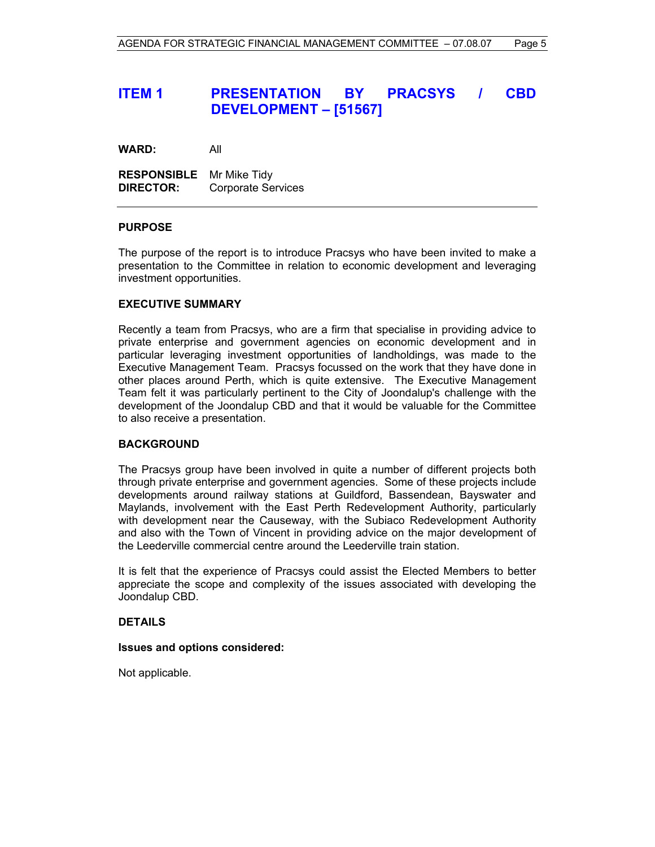# **ITEM 1 PRESENTATION BY PRACSYS / CBD DEVELOPMENT – [51567]**

**WARD:** All

**RESPONSIBLE** Mr Mike Tidy **DIRECTOR:** Corporate Services

# **PURPOSE**

The purpose of the report is to introduce Pracsys who have been invited to make a presentation to the Committee in relation to economic development and leveraging investment opportunities.

#### **EXECUTIVE SUMMARY**

Recently a team from Pracsys, who are a firm that specialise in providing advice to private enterprise and government agencies on economic development and in particular leveraging investment opportunities of landholdings, was made to the Executive Management Team. Pracsys focussed on the work that they have done in other places around Perth, which is quite extensive. The Executive Management Team felt it was particularly pertinent to the City of Joondalup's challenge with the development of the Joondalup CBD and that it would be valuable for the Committee to also receive a presentation.

#### **BACKGROUND**

The Pracsys group have been involved in quite a number of different projects both through private enterprise and government agencies. Some of these projects include developments around railway stations at Guildford, Bassendean, Bayswater and Maylands, involvement with the East Perth Redevelopment Authority, particularly with development near the Causeway, with the Subiaco Redevelopment Authority and also with the Town of Vincent in providing advice on the major development of the Leederville commercial centre around the Leederville train station.

It is felt that the experience of Pracsys could assist the Elected Members to better appreciate the scope and complexity of the issues associated with developing the Joondalup CBD.

#### **DETAILS**

#### **Issues and options considered:**

Not applicable.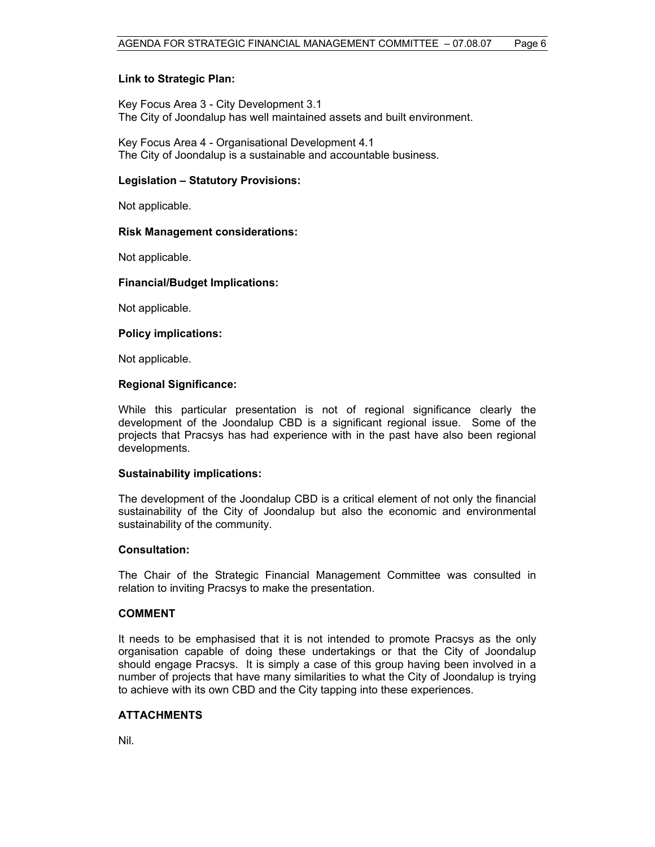# **Link to Strategic Plan:**

Key Focus Area 3 - City Development 3.1 The City of Joondalup has well maintained assets and built environment.

Key Focus Area 4 - Organisational Development 4.1 The City of Joondalup is a sustainable and accountable business.

### **Legislation – Statutory Provisions:**

Not applicable.

# **Risk Management considerations:**

Not applicable.

# **Financial/Budget Implications:**

Not applicable.

# **Policy implications:**

Not applicable.

# **Regional Significance:**

While this particular presentation is not of regional significance clearly the development of the Joondalup CBD is a significant regional issue. Some of the projects that Pracsys has had experience with in the past have also been regional developments.

#### **Sustainability implications:**

The development of the Joondalup CBD is a critical element of not only the financial sustainability of the City of Joondalup but also the economic and environmental sustainability of the community.

#### **Consultation:**

The Chair of the Strategic Financial Management Committee was consulted in relation to inviting Pracsys to make the presentation.

# **COMMENT**

It needs to be emphasised that it is not intended to promote Pracsys as the only organisation capable of doing these undertakings or that the City of Joondalup should engage Pracsys. It is simply a case of this group having been involved in a number of projects that have many similarities to what the City of Joondalup is trying to achieve with its own CBD and the City tapping into these experiences.

# **ATTACHMENTS**

Nil.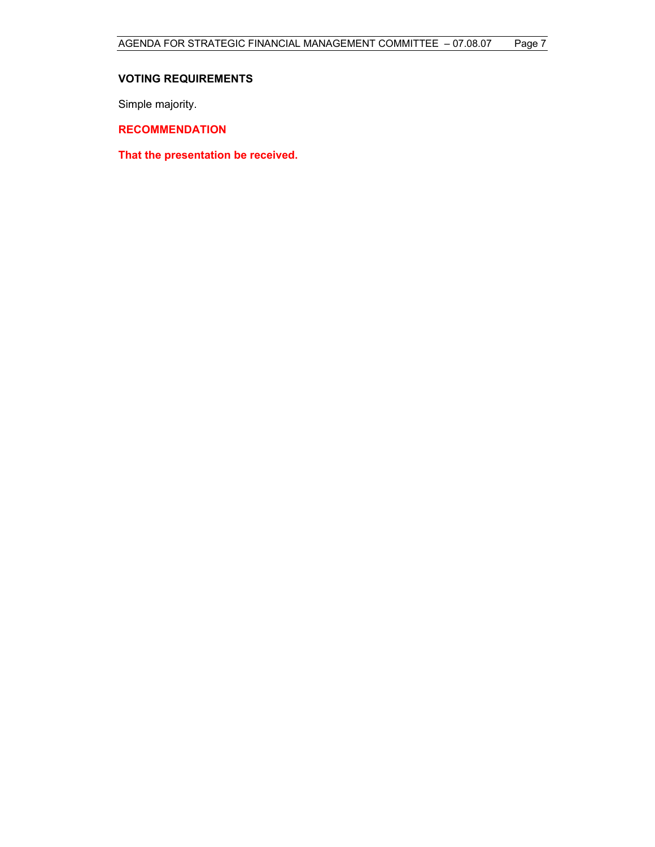# **VOTING REQUIREMENTS**

Simple majority.

**RECOMMENDATION** 

**That the presentation be received.**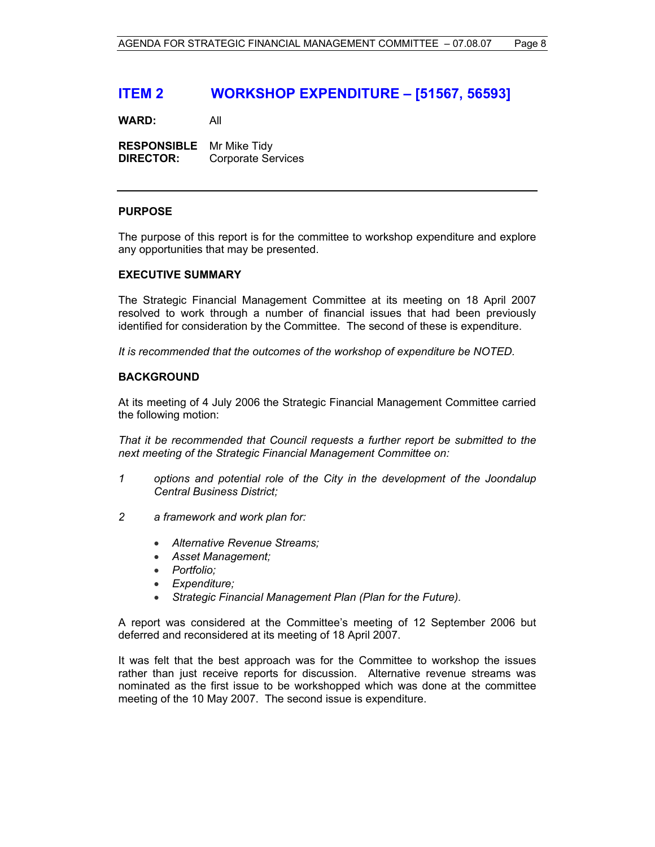# **ITEM 2 WORKSHOP EXPENDITURE – [51567, 56593]**

**WARD:** All

**RESPONSIBLE** Mr Mike Tidy **DIRECTOR:** Corporate Services

# **PURPOSE**

The purpose of this report is for the committee to workshop expenditure and explore any opportunities that may be presented.

#### **EXECUTIVE SUMMARY**

The Strategic Financial Management Committee at its meeting on 18 April 2007 resolved to work through a number of financial issues that had been previously identified for consideration by the Committee. The second of these is expenditure.

*It is recommended that the outcomes of the workshop of expenditure be NOTED.*

# **BACKGROUND**

At its meeting of 4 July 2006 the Strategic Financial Management Committee carried the following motion:

*That it be recommended that Council requests a further report be submitted to the next meeting of the Strategic Financial Management Committee on:* 

- *1 options and potential role of the City in the development of the Joondalup Central Business District;*
- *2 a framework and work plan for:* 
	- *Alternative Revenue Streams;*
	- *Asset Management;*
	- *Portfolio;*
	- *Expenditure;*
	- *Strategic Financial Management Plan (Plan for the Future).*

A report was considered at the Committee's meeting of 12 September 2006 but deferred and reconsidered at its meeting of 18 April 2007.

It was felt that the best approach was for the Committee to workshop the issues rather than just receive reports for discussion. Alternative revenue streams was nominated as the first issue to be workshopped which was done at the committee meeting of the 10 May 2007. The second issue is expenditure.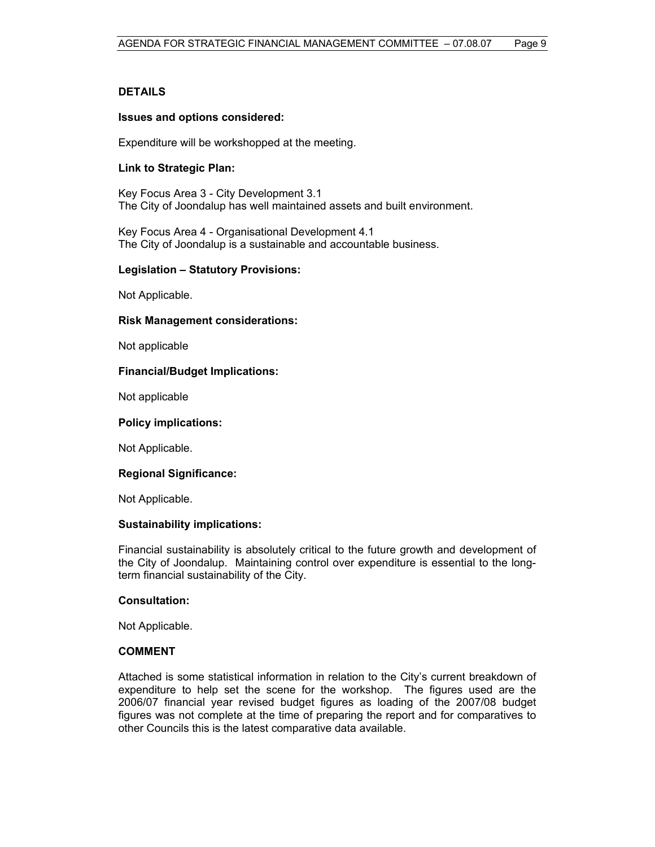# **DETAILS**

#### **Issues and options considered:**

Expenditure will be workshopped at the meeting.

# **Link to Strategic Plan:**

Key Focus Area 3 - City Development 3.1 The City of Joondalup has well maintained assets and built environment.

Key Focus Area 4 - Organisational Development 4.1 The City of Joondalup is a sustainable and accountable business.

#### **Legislation – Statutory Provisions:**

Not Applicable.

#### **Risk Management considerations:**

Not applicable

#### **Financial/Budget Implications:**

Not applicable

#### **Policy implications:**

Not Applicable.

#### **Regional Significance:**

Not Applicable.

#### **Sustainability implications:**

Financial sustainability is absolutely critical to the future growth and development of the City of Joondalup. Maintaining control over expenditure is essential to the longterm financial sustainability of the City.

#### **Consultation:**

Not Applicable.

#### **COMMENT**

Attached is some statistical information in relation to the City's current breakdown of expenditure to help set the scene for the workshop. The figures used are the 2006/07 financial year revised budget figures as loading of the 2007/08 budget figures was not complete at the time of preparing the report and for comparatives to other Councils this is the latest comparative data available.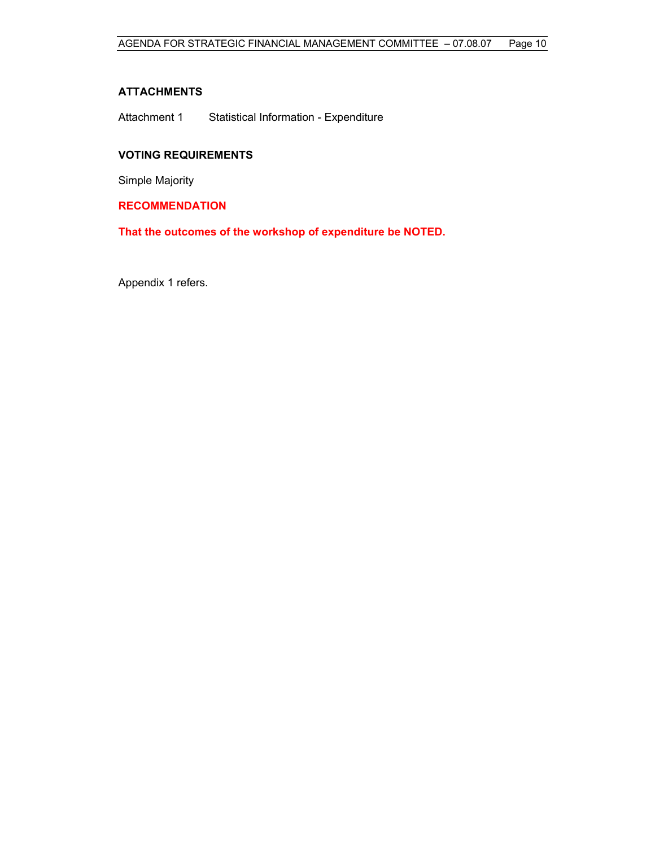# **ATTACHMENTS**

Attachment 1 Statistical Information - Expenditure

# **VOTING REQUIREMENTS**

Simple Majority

**RECOMMENDATION** 

**That the outcomes of the workshop of expenditure be NOTED.** 

Appendix 1 refers.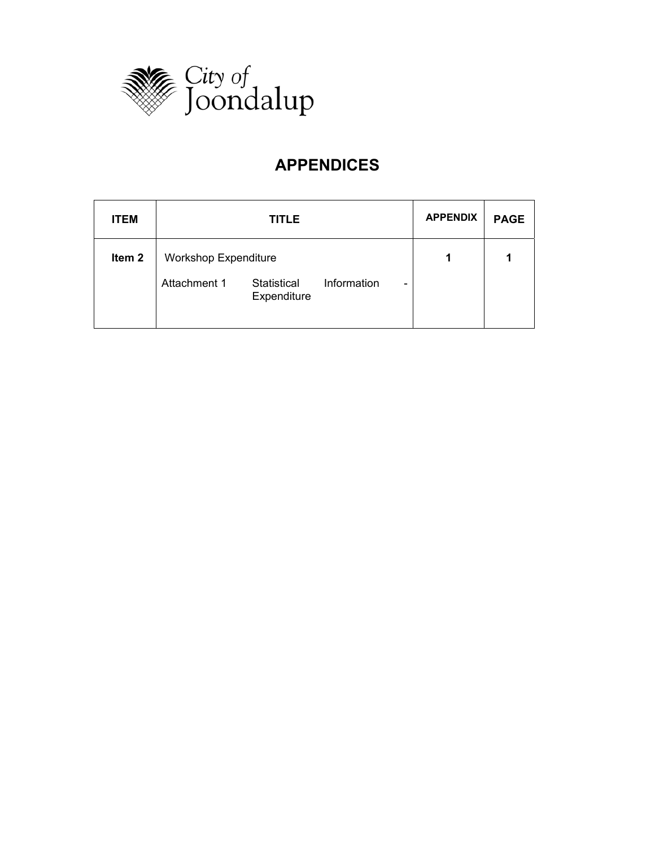

# **APPENDICES**

| <b>ITEM</b>       | <b>TITLE</b>                               |                                | <b>APPENDIX</b> | <b>PAGE</b> |
|-------------------|--------------------------------------------|--------------------------------|-----------------|-------------|
| Item <sub>2</sub> | <b>Workshop Expenditure</b>                | 1                              |                 |             |
|                   | Attachment 1<br>Statistical<br>Expenditure | Information<br>$\qquad \qquad$ |                 |             |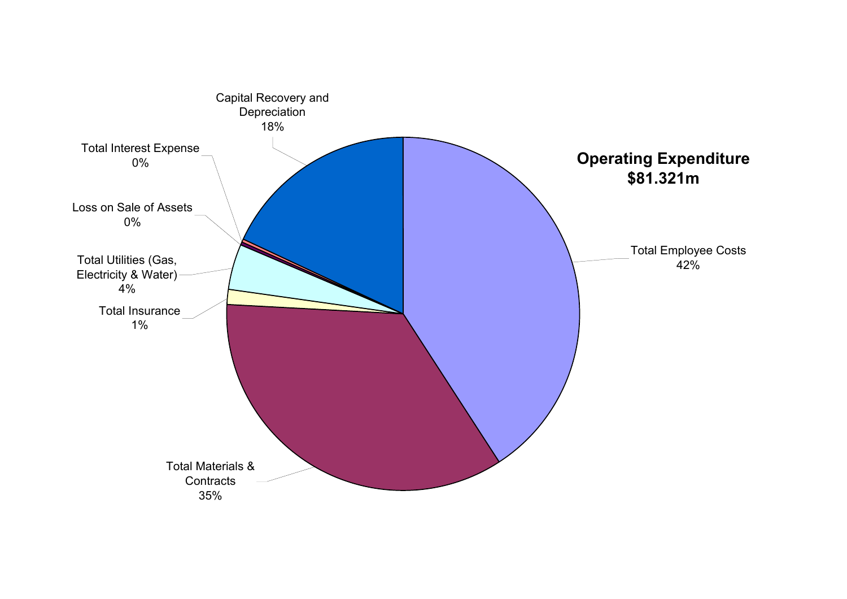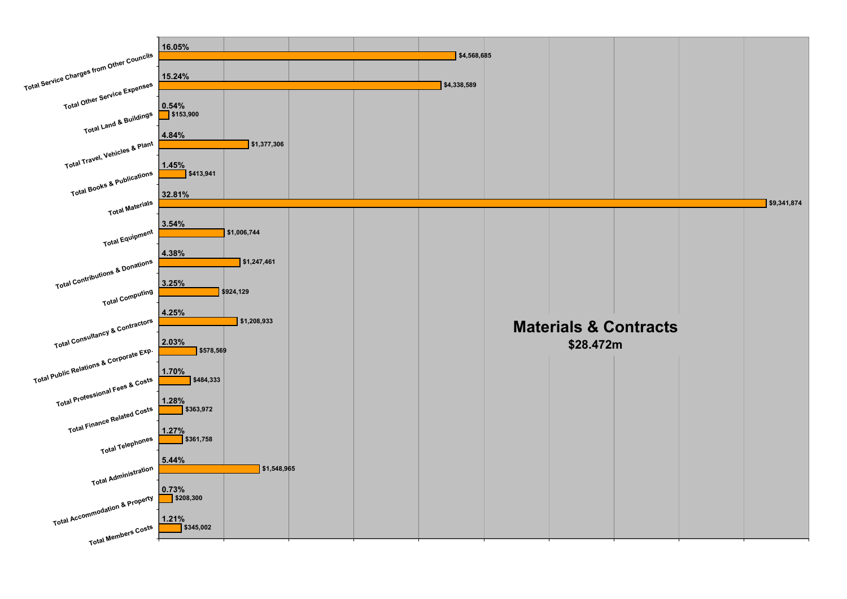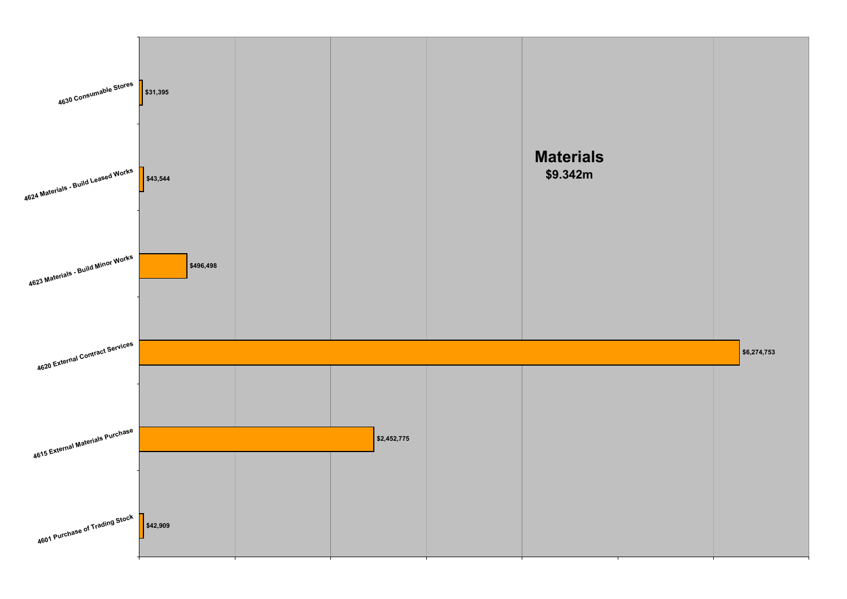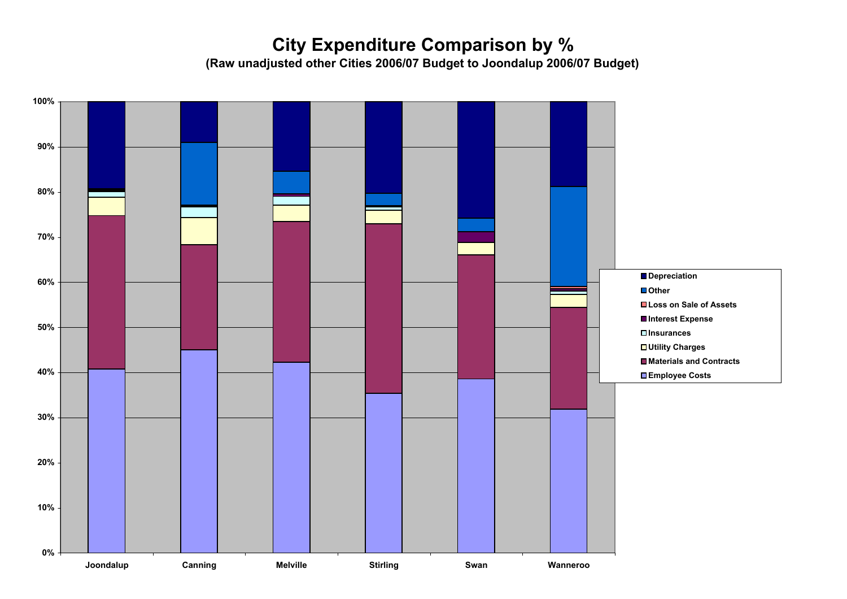# **City Expenditure Comparison by %**

**(Raw unadjusted other Cities 2006/07 Budget to Joondalup 2006/07 Budget)**